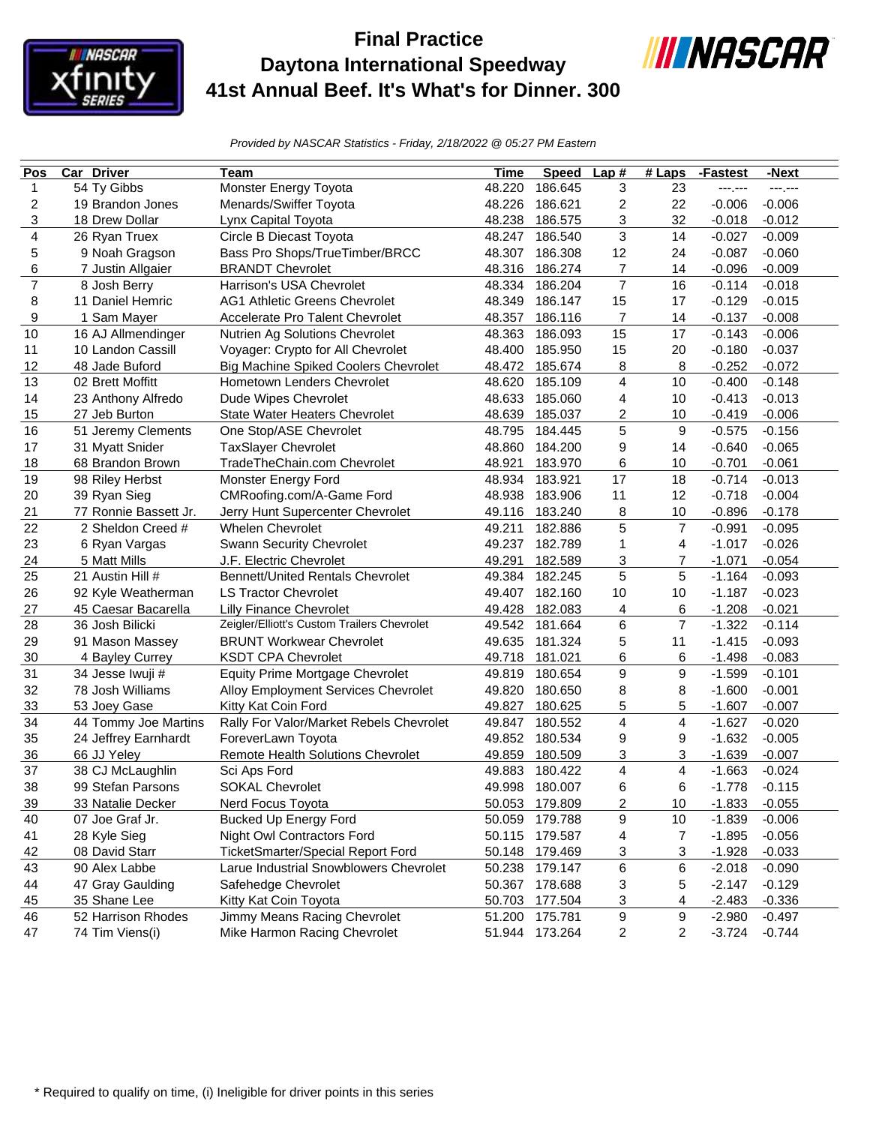

## **Final Practice Daytona International Speedway 41st Annual Beef. It's What's for Dinner. 300**



*Provided by NASCAR Statistics - Friday, 2/18/2022 @ 05:27 PM Eastern*

| Pos                      | <b>Car Driver</b>     | Team                                        | Time   | <b>Speed</b>   | Lap#           | $#$ Laps       | -Fastest | -Next    |
|--------------------------|-----------------------|---------------------------------------------|--------|----------------|----------------|----------------|----------|----------|
| $\mathbf{1}$             | 54 Ty Gibbs           | Monster Energy Toyota                       | 48.220 | 186.645        | 3              | 23             | ---.---  | ---,---  |
| $\overline{\mathbf{c}}$  | 19 Brandon Jones      | Menards/Swiffer Toyota                      | 48.226 | 186.621        | 2              | 22             | $-0.006$ | $-0.006$ |
| 3                        | 18 Drew Dollar        | Lynx Capital Toyota                         | 48.238 | 186.575        | 3              | 32             | $-0.018$ | $-0.012$ |
| 4                        | 26 Ryan Truex         | Circle B Diecast Toyota                     | 48.247 | 186.540        | 3              | 14             | $-0.027$ | $-0.009$ |
| 5                        | 9 Noah Gragson        | Bass Pro Shops/TrueTimber/BRCC              | 48.307 | 186.308        | 12             | 24             | $-0.087$ | $-0.060$ |
| 6                        | 7 Justin Allgaier     | <b>BRANDT Chevrolet</b>                     | 48.316 | 186.274        | 7              | 14             | $-0.096$ | $-0.009$ |
| $\overline{\mathcal{I}}$ | 8 Josh Berry          | Harrison's USA Chevrolet                    | 48.334 | 186.204        | $\overline{7}$ | 16             | $-0.114$ | $-0.018$ |
| 8                        | 11 Daniel Hemric      | <b>AG1 Athletic Greens Chevrolet</b>        | 48.349 | 186.147        | 15             | 17             | $-0.129$ | $-0.015$ |
| 9                        | 1 Sam Mayer           | Accelerate Pro Talent Chevrolet             | 48.357 | 186.116        | $\overline{7}$ | 14             | $-0.137$ | $-0.008$ |
| 10                       | 16 AJ Allmendinger    | Nutrien Ag Solutions Chevrolet              | 48.363 | 186.093        | 15             | 17             | $-0.143$ | $-0.006$ |
| 11                       | 10 Landon Cassill     | Voyager: Crypto for All Chevrolet           | 48.400 | 185.950        | 15             | 20             | $-0.180$ | $-0.037$ |
| 12                       | 48 Jade Buford        | Big Machine Spiked Coolers Chevrolet        | 48.472 | 185.674        | 8              | 8              | $-0.252$ | $-0.072$ |
| 13                       | 02 Brett Moffitt      | Hometown Lenders Chevrolet                  | 48.620 | 185.109        | 4              | 10             | $-0.400$ | $-0.148$ |
| 14                       | 23 Anthony Alfredo    | Dude Wipes Chevrolet                        | 48.633 | 185.060        | 4              | 10             | $-0.413$ | $-0.013$ |
| 15                       | 27 Jeb Burton         | State Water Heaters Chevrolet               | 48.639 | 185.037        | 2              | 10             | $-0.419$ | $-0.006$ |
| 16                       | 51 Jeremy Clements    | One Stop/ASE Chevrolet                      | 48.795 | 184.445        | 5              | 9              | $-0.575$ | $-0.156$ |
| 17                       | 31 Myatt Snider       | TaxSlayer Chevrolet                         | 48.860 | 184.200        | 9              | 14             | $-0.640$ | $-0.065$ |
| 18                       | 68 Brandon Brown      | TradeTheChain.com Chevrolet                 | 48.921 | 183.970        | 6              | 10             | $-0.701$ | $-0.061$ |
| 19                       | 98 Riley Herbst       | Monster Energy Ford                         | 48.934 | 183.921        | 17             | 18             | $-0.714$ | $-0.013$ |
| 20                       | 39 Ryan Sieg          | CMRoofing.com/A-Game Ford                   | 48.938 | 183.906        | 11             | 12             | $-0.718$ | $-0.004$ |
| 21                       | 77 Ronnie Bassett Jr. | Jerry Hunt Supercenter Chevrolet            | 49.116 | 183.240        | 8              | 10             | $-0.896$ | $-0.178$ |
| 22                       | 2 Sheldon Creed #     | <b>Whelen Chevrolet</b>                     | 49.211 | 182.886        | 5              | $\overline{7}$ | $-0.991$ | $-0.095$ |
| 23                       | 6 Ryan Vargas         | Swann Security Chevrolet                    | 49.237 | 182.789        | $\mathbf{1}$   | 4              | $-1.017$ | $-0.026$ |
| 24                       | 5 Matt Mills          | J.F. Electric Chevrolet                     | 49.291 | 182.589        | 3              | 7              | $-1.071$ | $-0.054$ |
| 25                       | 21 Austin Hill #      | <b>Bennett/United Rentals Chevrolet</b>     | 49.384 | 182.245        | 5              | 5              | $-1.164$ | $-0.093$ |
| 26                       | 92 Kyle Weatherman    | <b>LS Tractor Chevrolet</b>                 | 49.407 | 182.160        | 10             | 10             | $-1.187$ | $-0.023$ |
| 27                       | 45 Caesar Bacarella   | <b>Lilly Finance Chevrolet</b>              | 49.428 | 182.083        | 4              | 6              | $-1.208$ | $-0.021$ |
| 28                       | 36 Josh Bilicki       | Zeigler/Elliott's Custom Trailers Chevrolet | 49.542 | 181.664        | 6              | $\overline{7}$ | $-1.322$ | $-0.114$ |
| 29                       | 91 Mason Massey       | <b>BRUNT Workwear Chevrolet</b>             | 49.635 | 181.324        | 5              | 11             | $-1.415$ | $-0.093$ |
| 30                       | 4 Bayley Currey       | <b>KSDT CPA Chevrolet</b>                   | 49.718 | 181.021        | 6              | 6              | $-1.498$ | $-0.083$ |
| 31                       | 34 Jesse Iwuji #      | Equity Prime Mortgage Chevrolet             | 49.819 | 180.654        | 9              | 9              | $-1.599$ | $-0.101$ |
| 32                       | 78 Josh Williams      | Alloy Employment Services Chevrolet         | 49.820 | 180.650        | 8              | 8              | $-1.600$ | $-0.001$ |
| 33                       | 53 Joey Gase          | Kitty Kat Coin Ford                         | 49.827 | 180.625        | 5              | 5              | $-1.607$ | $-0.007$ |
| 34                       | 44 Tommy Joe Martins  | Rally For Valor/Market Rebels Chevrolet     | 49.847 | 180.552        | 4              | 4              | $-1.627$ | $-0.020$ |
| 35                       | 24 Jeffrey Earnhardt  | ForeverLawn Toyota                          | 49.852 | 180.534        | 9              | 9              | $-1.632$ | $-0.005$ |
| 36                       | 66 JJ Yeley           | Remote Health Solutions Chevrolet           | 49.859 | 180.509        | 3              | 3              | $-1.639$ | $-0.007$ |
| 37                       | 38 CJ McLaughlin      | Sci Aps Ford                                | 49.883 | 180.422        | 4              | 4              | $-1.663$ | $-0.024$ |
| 38                       | 99 Stefan Parsons     | <b>SOKAL Chevrolet</b>                      |        | 49.998 180.007 | 6              | 6              | $-1.778$ | $-0.115$ |
| 39                       | 33 Natalie Decker     | Nerd Focus Toyota                           |        | 50.053 179.809 | 2              | $10$           | $-1.833$ | $-0.055$ |
| 40                       | 07 Joe Graf Jr.       | <b>Bucked Up Energy Ford</b>                | 50.059 | 179.788        | 9              | 10             | $-1.839$ | $-0.006$ |
| 41                       | 28 Kyle Sieg          | Night Owl Contractors Ford                  | 50.115 | 179.587        | 4              | 7              | $-1.895$ | $-0.056$ |
| 42                       | 08 David Starr        | TicketSmarter/Special Report Ford           | 50.148 | 179.469        | 3              | 3              | $-1.928$ | $-0.033$ |
| 43                       | 90 Alex Labbe         | Larue Industrial Snowblowers Chevrolet      | 50.238 | 179.147        | 6              | 6              | $-2.018$ | $-0.090$ |
| 44                       | 47 Gray Gaulding      | Safehedge Chevrolet                         | 50.367 | 178.688        | 3              | 5              | $-2.147$ | $-0.129$ |
| 45                       | 35 Shane Lee          | Kitty Kat Coin Toyota                       | 50.703 | 177.504        | 3              | 4              | $-2.483$ | $-0.336$ |
| 46                       | 52 Harrison Rhodes    | Jimmy Means Racing Chevrolet                | 51.200 | 175.781        | 9              | 9              | $-2.980$ | $-0.497$ |
| 47                       | 74 Tim Viens(i)       | Mike Harmon Racing Chevrolet                | 51.944 | 173.264        | 2              | 2              | $-3.724$ | $-0.744$ |